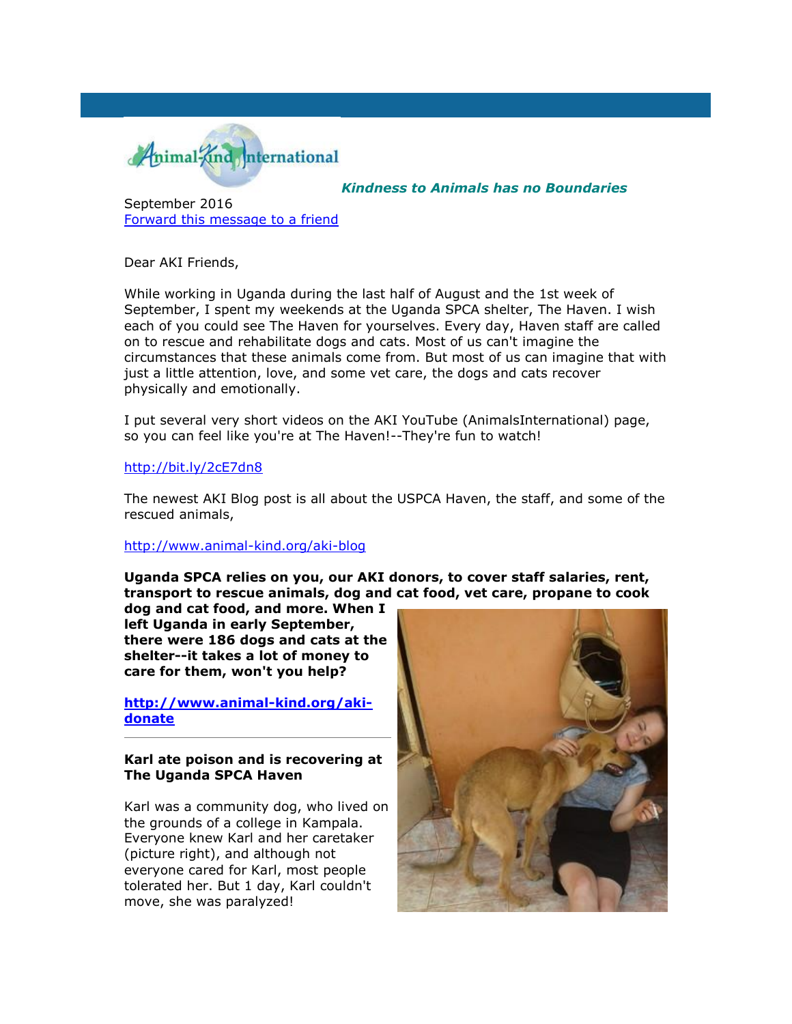

*Kindness to Animals has no Boundaries*

September 2016 [Forward this message to a friend](http://oi.vresp.com/f2af/v4/send_to_friend.html?ch=3e200f9900&lid=284351439&ldh=f33df9aebc)

Dear AKI Friends,

While working in Uganda during the last half of August and the 1st week of September, I spent my weekends at the Uganda SPCA shelter, The Haven. I wish each of you could see The Haven for yourselves. Every day, Haven staff are called on to rescue and rehabilitate dogs and cats. Most of us can't imagine the circumstances that these animals come from. But most of us can imagine that with just a little attention, love, and some vet care, the dogs and cats recover physically and emotionally.

I put several very short videos on the AKI YouTube (AnimalsInternational) page, so you can feel like you're at The Haven!--They're fun to watch!

### [http://bit.ly/2cE7dn8](http://cts.vresp.com/c/?AnimalKindInternatio/3e200f9900/f33df9aebc/35cedbcab0)

The newest AKI Blog post is all about the USPCA Haven, the staff, and some of the rescued animals,

#### [http://www.animal-kind.org/aki-blog](http://cts.vresp.com/c/?AnimalKindInternatio/3e200f9900/f33df9aebc/9d2f3e16ce)

**Uganda SPCA relies on you, our AKI donors, to cover staff salaries, rent, transport to rescue animals, dog and cat food, vet care, propane to cook** 

**dog and cat food, and more. When I left Uganda in early September, there were 186 dogs and cats at the shelter--it takes a lot of money to care for them, won't you help?**

**[http://www.animal-kind.org/aki](http://cts.vresp.com/c/?AnimalKindInternatio/3e200f9900/f33df9aebc/fe940dbc02)[donate](http://cts.vresp.com/c/?AnimalKindInternatio/3e200f9900/f33df9aebc/fe940dbc02)**

### **Karl ate poison and is recovering at The Uganda SPCA Haven**

Karl was a community dog, who lived on the grounds of a college in Kampala. Everyone knew Karl and her caretaker (picture right), and although not everyone cared for Karl, most people tolerated her. But 1 day, Karl couldn't move, she was paralyzed!

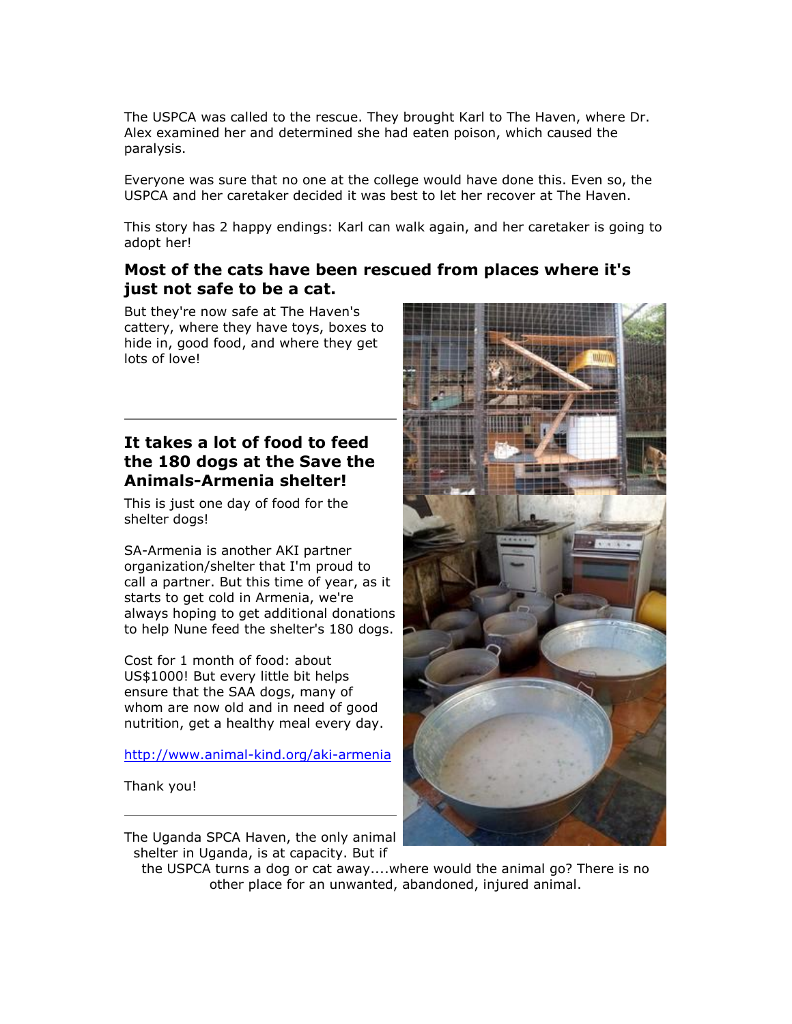The USPCA was called to the rescue. They brought Karl to The Haven, where Dr. Alex examined her and determined she had eaten poison, which caused the paralysis.

Everyone was sure that no one at the college would have done this. Even so, the USPCA and her caretaker decided it was best to let her recover at The Haven.

This story has 2 happy endings: Karl can walk again, and her caretaker is going to adopt her!

## **Most of the cats have been rescued from places where it's just not safe to be a cat.**

But they're now safe at The Haven's cattery, where they have toys, boxes to hide in, good food, and where they get [lots of love!](http://hosted.verticalresponse.com/585333/3e200f9900/284351439/f33df9aebc/) 

# **It takes a lot of food to feed the 180 dogs at the Save the Animals-Armenia shelter!**

This is just one day of food for the shelter dogs!

SA-Armenia is another AKI partner organization/shelter that I'm proud to call a partner. But this time of year, as it starts to get cold in Armenia, we're always hoping to get additional donations to help Nune feed the shelter's 180 dogs.

Cost for 1 month of food: about US\$1000! But every little bit helps ensure that the SAA dogs, many of whom are now old and in need of good nutrition, get a healthy meal every day.

[http://www.animal-kind.org/aki-armenia](http://cts.vresp.com/c/?AnimalKindInternatio/3e200f9900/f33df9aebc/4f7eb8abf2)

Thank you!

The Uganda SPCA Haven, the only animal shelter in Uganda, is at capacity. But if



the USPCA turns a dog or cat away....where would the animal go? There is no other place for an unwanted, abandoned, injured animal.